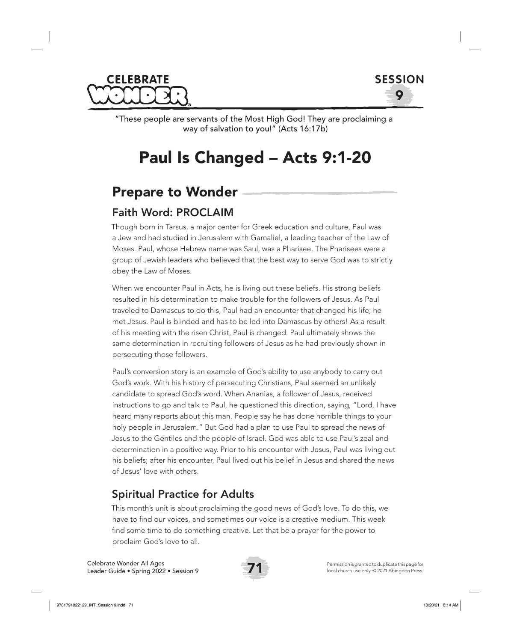



"These people are servants of the Most High God! They are proclaiming a way of salvation to you!" (Acts 16:17b)

# Paul Is Changed – Acts 9:1-20

### Prepare to Wonder

### Faith Word: PROCLAIM

Though born in Tarsus, a major center for Greek education and culture, Paul was a Jew and had studied in Jerusalem with Gamaliel, a leading teacher of the Law of Moses. Paul, whose Hebrew name was Saul, was a Pharisee. The Pharisees were a group of Jewish leaders who believed that the best way to serve God was to strictly obey the Law of Moses.

When we encounter Paul in Acts, he is living out these beliefs. His strong beliefs resulted in his determination to make trouble for the followers of Jesus. As Paul traveled to Damascus to do this, Paul had an encounter that changed his life; he met Jesus. Paul is blinded and has to be led into Damascus by others! As a result of his meeting with the risen Christ, Paul is changed. Paul ultimately shows the same determination in recruiting followers of Jesus as he had previously shown in persecuting those followers.

Paul's conversion story is an example of God's ability to use anybody to carry out God's work. With his history of persecuting Christians, Paul seemed an unlikely candidate to spread God's word. When Ananias, a follower of Jesus, received instructions to go and talk to Paul, he questioned this direction, saying, "Lord, I have heard many reports about this man. People say he has done horrible things to your holy people in Jerusalem." But God had a plan to use Paul to spread the news of Jesus to the Gentiles and the people of Israel. God was able to use Paul's zeal and determination in a positive way. Prior to his encounter with Jesus, Paul was living out his beliefs; after his encounter, Paul lived out his belief in Jesus and shared the news of Jesus' love with others.

### Spiritual Practice for Adults

This month's unit is about proclaiming the good news of God's love. To do this, we have to find our voices, and sometimes our voice is a creative medium. This week find some time to do something creative. Let that be a prayer for the power to proclaim God's love to all.

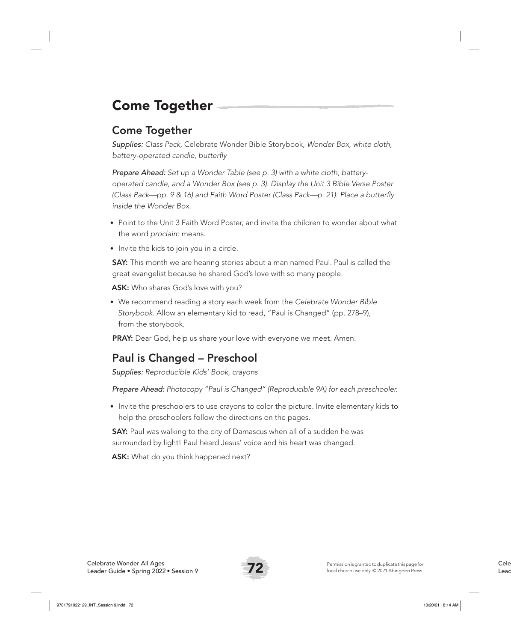## Come Together

### Come Together

*Supplies: Class Pack,* Celebrate Wonder Bible Storybook*, Wonder Box, white cloth, battery-operated candle, butterfly*

*Prepare Ahead: Set up a Wonder Table (see p. 3) with a white cloth, batteryoperated candle, and a Wonder Box (see p. 3). Display the Unit 3 Bible Verse Poster (Class Pack—pp. 9 & 16) and Faith Word Poster (Class Pack—p. 21). Place a butterfly inside the Wonder Box.* 

- Point to the Unit 3 Faith Word Poster, and invite the children to wonder about what the word *proclaim* means.
- Invite the kids to join you in a circle.

**SAY:** This month we are hearing stories about a man named Paul. Paul is called the great evangelist because he shared God's love with so many people.

ASK: Who shares God's love with you?

• We recommend reading a story each week from the *Celebrate Wonder Bible Storybook*. Allow an elementary kid to read, "Paul is Changed" (pp. 278–9), from the storybook.

PRAY: Dear God, help us share your love with everyone we meet. Amen.

### Paul is Changed – Preschool

*Supplies: Reproducible Kids' Book, crayons*

*Prepare Ahead: Photocopy "Paul is Changed" (Reproducible 9A) for each preschooler.*

• Invite the preschoolers to use crayons to color the picture. Invite elementary kids to help the preschoolers follow the directions on the pages.

SAY: Paul was walking to the city of Damascus when all of a sudden he was surrounded by light! Paul heard Jesus' voice and his heart was changed.

ASK: What do you think happened next?

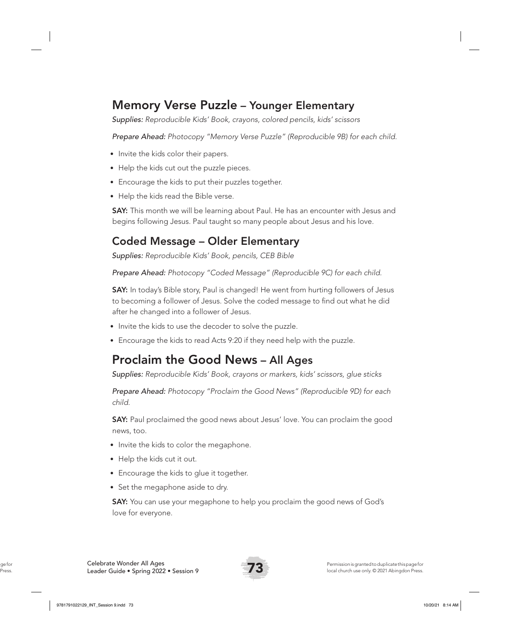### Memory Verse Puzzle – Younger Elementary

*Supplies: Reproducible Kids' Book, crayons, colored pencils, kids' scissors*

*Prepare Ahead: Photocopy "Memory Verse Puzzle" (Reproducible 9B) for each child.*

- Invite the kids color their papers.
- Help the kids cut out the puzzle pieces.
- Encourage the kids to put their puzzles together.
- Help the kids read the Bible verse.

SAY: This month we will be learning about Paul. He has an encounter with Jesus and begins following Jesus. Paul taught so many people about Jesus and his love.

### Coded Message – Older Elementary

*Supplies: Reproducible Kids' Book, pencils, CEB Bible*

*Prepare Ahead: Photocopy "Coded Message" (Reproducible 9C) for each child.* 

SAY: In today's Bible story, Paul is changed! He went from hurting followers of Jesus to becoming a follower of Jesus. Solve the coded message to find out what he did after he changed into a follower of Jesus.

- Invite the kids to use the decoder to solve the puzzle.
- Encourage the kids to read Acts 9:20 if they need help with the puzzle.

### Proclaim the Good News – All Ages

*Supplies: Reproducible Kids' Book, crayons or markers, kids' scissors, glue sticks*

*Prepare Ahead: Photocopy "Proclaim the Good News" (Reproducible 9D) for each child.* 

SAY: Paul proclaimed the good news about Jesus' love. You can proclaim the good news, too.

- Invite the kids to color the megaphone.
- Help the kids cut it out.
- Encourage the kids to glue it together.
- Set the megaphone aside to dry.

SAY: You can use your megaphone to help you proclaim the good news of God's love for everyone.

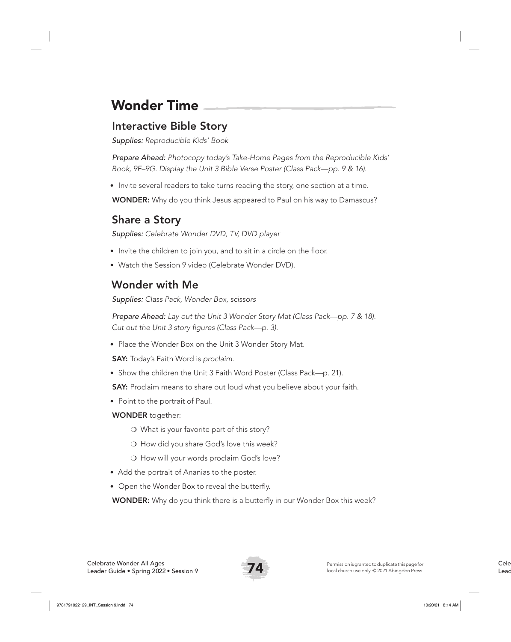## Wonder Time

### Interactive Bible Story

*Supplies: Reproducible Kids' Book* 

*Prepare Ahead: Photocopy today's Take-Home Pages from the Reproducible Kids' Book, 9F–9G. Display the Unit 3 Bible Verse Poster (Class Pack—pp. 9 & 16).*

• Invite several readers to take turns reading the story, one section at a time.

WONDER: Why do you think Jesus appeared to Paul on his way to Damascus?

### Share a Story

*Supplies: Celebrate Wonder DVD, TV, DVD player*

- Invite the children to join you, and to sit in a circle on the floor.
- Watch the Session 9 video (Celebrate Wonder DVD).

### Wonder with Me

*Supplies: Class Pack, Wonder Box, scissors*

*Prepare Ahead: Lay out the Unit 3 Wonder Story Mat (Class Pack—pp. 7 & 18). Cut out the Unit 3 story figures (Class Pack—p. 3).* 

• Place the Wonder Box on the Unit 3 Wonder Story Mat.

SAY: Today's Faith Word is *proclaim*.

• Show the children the Unit 3 Faith Word Poster (Class Pack—p. 21).

SAY: Proclaim means to share out loud what you believe about your faith.

• Point to the portrait of Paul.

#### WONDER together:

- ❍ What is your favorite part of this story?
- ❍ How did you share God's love this week?
- O How will your words proclaim God's love?
- Add the portrait of Ananias to the poster.
- Open the Wonder Box to reveal the butterfly.

**WONDER:** Why do you think there is a butterfly in our Wonder Box this week?

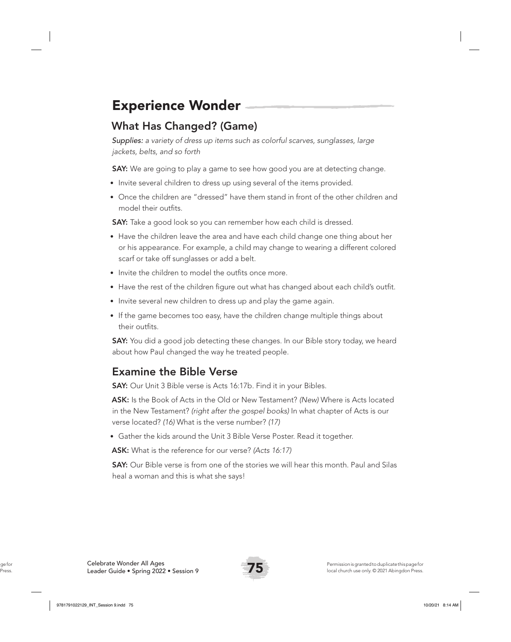## Experience Wonder

### What Has Changed? (Game)

*Supplies: a variety of dress up items such as colorful scarves, sunglasses, large jackets, belts, and so forth*

**SAY:** We are going to play a game to see how good you are at detecting change.

- Invite several children to dress up using several of the items provided.
- Once the children are "dressed" have them stand in front of the other children and model their outfits.

**SAY:** Take a good look so you can remember how each child is dressed.

- Have the children leave the area and have each child change one thing about her or his appearance. For example, a child may change to wearing a different colored scarf or take off sunglasses or add a belt.
- Invite the children to model the outfits once more.
- Have the rest of the children figure out what has changed about each child's outfit.
- Invite several new children to dress up and play the game again.
- If the game becomes too easy, have the children change multiple things about their outfits.

**SAY:** You did a good job detecting these changes. In our Bible story today, we heard about how Paul changed the way he treated people.

### Examine the Bible Verse

**SAY:** Our Unit 3 Bible verse is Acts 16:17b. Find it in your Bibles.

ASK: Is the Book of Acts in the Old or New Testament? *(New)* Where is Acts located in the New Testament? *(right after the gospel books)* In what chapter of Acts is our verse located? *(16)* What is the verse number? *(17)*

• Gather the kids around the Unit 3 Bible Verse Poster. Read it together.

ASK: What is the reference for our verse? *(Acts 16:17)*

**SAY:** Our Bible verse is from one of the stories we will hear this month. Paul and Silas heal a woman and this is what she says!

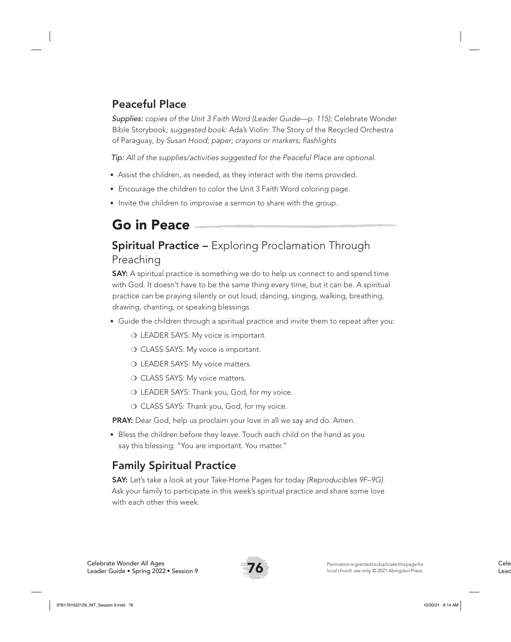### Peaceful Place

*Supplies: copies of the Unit 3 Faith Word (Leader Guide—p. 115);* Celebrate Wonder Bible Storybook*; suggested book:* Ada's Violin: The Story of the Recycled Orchestra of Paraguay*, by Susan Hood; paper; crayons or markers; flashlights*

*Tip: All of the supplies/activities suggested for the Peaceful Place are optional.*

- Assist the children, as needed, as they interact with the items provided.
- Encourage the children to color the Unit 3 Faith Word coloring page.
- Invite the children to improvise a sermon to share with the group.

## Go in Peace

### **Spiritual Practice –** Exploring Proclamation Through Preaching

**SAY:** A spiritual practice is something we do to help us connect to and spend time with God. It doesn't have to be the same thing every time, but it can be. A spiritual practice can be praying silently or out loud, dancing, singing, walking, breathing, drawing, chanting, or speaking blessings.

- Guide the children through a spiritual practice and invite them to repeat after you:
	- ❍ LEADER SAYS: My voice is important.
	- O CLASS SAYS: My voice is important.
	- O LEADER SAYS: My voice matters.
	- O CLASS SAYS: My voice matters.
	- ❍ LEADER SAYS: Thank you, God, for my voice.
	- O CLASS SAYS: Thank you, God, for my voice.

PRAY: Dear God, help us proclaim your love in all we say and do. Amen.

• Bless the children before they leave. Touch each child on the hand as you say this blessing: "You are important. You matter."

### Family Spiritual Practice

SAY: Let's take a look at your Take-Home Pages for today *(Reproducibles 9F–9G)*. Ask your family to participate in this week's spiritual practice and share some love with each other this week.

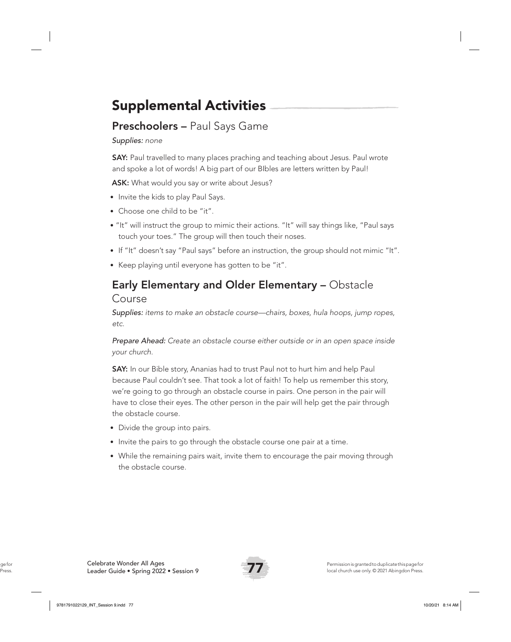## Supplemental Activities

### Preschoolers - Paul Says Game

*Supplies: none*

SAY: Paul travelled to many places praching and teaching about Jesus. Paul wrote and spoke a lot of words! A big part of our BIbles are letters written by Paul!

ASK: What would you say or write about Jesus?

- Invite the kids to play Paul Says.
- Choose one child to be "it".
- "It" will instruct the group to mimic their actions. "It" will say things like, "Paul says touch your toes." The group will then touch their noses.
- If "It" doesn't say "Paul says" before an instruction, the group should not mimic "It".
- Keep playing until everyone has gotten to be "it".

#### Early Elementary and Older Elementary – Obstacle Course

*Supplies: items to make an obstacle course—chairs, boxes, hula hoops, jump ropes, etc.*

*Prepare Ahead: Create an obstacle course either outside or in an open space inside your church.* 

SAY: In our Bible story, Ananias had to trust Paul not to hurt him and help Paul because Paul couldn't see. That took a lot of faith! To help us remember this story, we're going to go through an obstacle course in pairs. One person in the pair will have to close their eyes. The other person in the pair will help get the pair through the obstacle course.

- Divide the group into pairs.
- Invite the pairs to go through the obstacle course one pair at a time.
- While the remaining pairs wait, invite them to encourage the pair moving through the obstacle course.